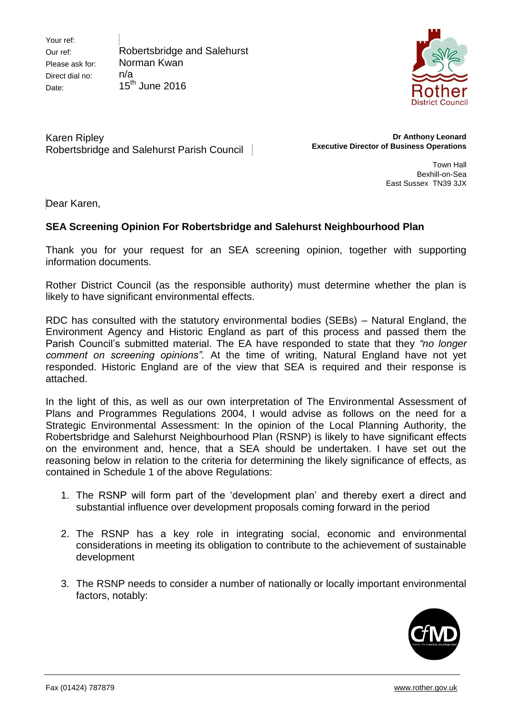Your ref: Our ref: Please ask for: Direct dial no: Date:

Robertsbridge and Salehurst Norman Kwan n/a 15<sup>th</sup> June 2016



Karen Ripley Robertsbridge and Salehurst Parish Council

**Dr Anthony Leonard Executive Director of Business Operations**

> Town Hall Bexhill-on-Sea East Sussex TN39 3JX

Dear Karen,

## **SEA Screening Opinion For Robertsbridge and Salehurst Neighbourhood Plan**

Thank you for your request for an SEA screening opinion, together with supporting information documents.

Rother District Council (as the responsible authority) must determine whether the plan is likely to have significant environmental effects.

RDC has consulted with the statutory environmental bodies (SEBs) – Natural England, the Environment Agency and Historic England as part of this process and passed them the Parish Council's submitted material. The EA have responded to state that they *"no longer comment on screening opinions".* At the time of writing, Natural England have not yet responded. Historic England are of the view that SEA is required and their response is attached.

In the light of this, as well as our own interpretation of The Environmental Assessment of Plans and Programmes Regulations 2004, I would advise as follows on the need for a Strategic Environmental Assessment: In the opinion of the Local Planning Authority, the Robertsbridge and Salehurst Neighbourhood Plan (RSNP) is likely to have significant effects on the environment and, hence, that a SEA should be undertaken. I have set out the reasoning below in relation to the criteria for determining the likely significance of effects, as contained in Schedule 1 of the above Regulations:

- 1. The RSNP will form part of the 'development plan' and thereby exert a direct and substantial influence over development proposals coming forward in the period
- 2. The RSNP has a key role in integrating social, economic and environmental considerations in meeting its obligation to contribute to the achievement of sustainable development
- 3. The RSNP needs to consider a number of nationally or locally important environmental factors, notably: